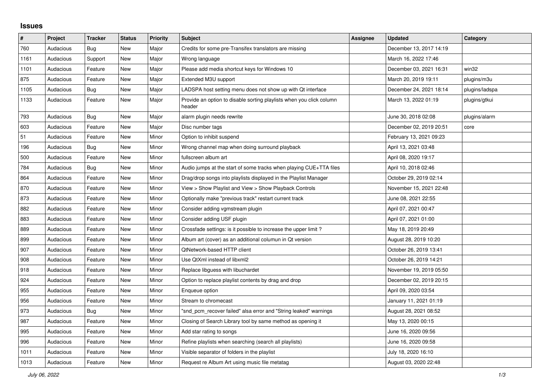## **Issues**

| $\vert$ # | Project   | <b>Tracker</b> | <b>Status</b> | <b>Priority</b> | <b>Subject</b>                                                                 | <b>Assignee</b> | <b>Updated</b>          | Category       |
|-----------|-----------|----------------|---------------|-----------------|--------------------------------------------------------------------------------|-----------------|-------------------------|----------------|
| 760       | Audacious | Bug            | <b>New</b>    | Major           | Credits for some pre-Transifex translators are missing                         |                 | December 13, 2017 14:19 |                |
| 1161      | Audacious | Support        | <b>New</b>    | Major           | Wrong language                                                                 |                 | March 16, 2022 17:46    |                |
| 1101      | Audacious | Feature        | New           | Major           | Please add media shortcut keys for Windows 10                                  |                 | December 03, 2021 16:31 | win32          |
| 875       | Audacious | Feature        | <b>New</b>    | Major           | Extended M3U support                                                           |                 | March 20, 2019 19:11    | plugins/m3u    |
| 1105      | Audacious | Bug            | New           | Major           | LADSPA host setting menu does not show up with Qt interface                    |                 | December 24, 2021 18:14 | plugins/ladspa |
| 1133      | Audacious | Feature        | New           | Major           | Provide an option to disable sorting playlists when you click column<br>header |                 | March 13, 2022 01:19    | plugins/gtkui  |
| 793       | Audacious | <b>Bug</b>     | <b>New</b>    | Major           | alarm plugin needs rewrite                                                     |                 | June 30, 2018 02:08     | plugins/alarm  |
| 603       | Audacious | Feature        | New           | Major           | Disc number tags                                                               |                 | December 02, 2019 20:51 | core           |
| 51        | Audacious | Feature        | <b>New</b>    | Minor           | Option to inhibit suspend                                                      |                 | February 13, 2021 09:23 |                |
| 196       | Audacious | Bug            | <b>New</b>    | Minor           | Wrong channel map when doing surround playback                                 |                 | April 13, 2021 03:48    |                |
| 500       | Audacious | Feature        | <b>New</b>    | Minor           | fullscreen album art                                                           |                 | April 08, 2020 19:17    |                |
| 784       | Audacious | <b>Bug</b>     | New           | Minor           | Audio jumps at the start of some tracks when playing CUE+TTA files             |                 | April 10, 2018 02:46    |                |
| 864       | Audacious | Feature        | <b>New</b>    | Minor           | Drag/drop songs into playlists displayed in the Playlist Manager               |                 | October 29, 2019 02:14  |                |
| 870       | Audacious | Feature        | <b>New</b>    | Minor           | View > Show Playlist and View > Show Playback Controls                         |                 | November 15, 2021 22:48 |                |
| 873       | Audacious | Feature        | New           | Minor           | Optionally make "previous track" restart current track                         |                 | June 08, 2021 22:55     |                |
| 882       | Audacious | Feature        | New           | Minor           | Consider adding vgmstream plugin                                               |                 | April 07, 2021 00:47    |                |
| 883       | Audacious | Feature        | <b>New</b>    | Minor           | Consider adding USF plugin                                                     |                 | April 07, 2021 01:00    |                |
| 889       | Audacious | Feature        | New           | Minor           | Crossfade settings: is it possible to increase the upper limit?                |                 | May 18, 2019 20:49      |                |
| 899       | Audacious | Feature        | <b>New</b>    | Minor           | Album art (cover) as an additional columun in Qt version                       |                 | August 28, 2019 10:20   |                |
| 907       | Audacious | Feature        | <b>New</b>    | Minor           | QtNetwork-based HTTP client                                                    |                 | October 26, 2019 13:41  |                |
| 908       | Audacious | Feature        | New           | Minor           | Use QtXml instead of libxml2                                                   |                 | October 26, 2019 14:21  |                |
| 918       | Audacious | Feature        | New           | Minor           | Replace libguess with libuchardet                                              |                 | November 19, 2019 05:50 |                |
| 924       | Audacious | Feature        | New           | Minor           | Option to replace playlist contents by drag and drop                           |                 | December 02, 2019 20:15 |                |
| 955       | Audacious | Feature        | <b>New</b>    | Minor           | Enqueue option                                                                 |                 | April 09, 2020 03:54    |                |
| 956       | Audacious | Feature        | New           | Minor           | Stream to chromecast                                                           |                 | January 11, 2021 01:19  |                |
| 973       | Audacious | Bug            | <b>New</b>    | Minor           | "snd_pcm_recover failed" alsa error and "String leaked" warnings               |                 | August 28, 2021 08:52   |                |
| 987       | Audacious | Feature        | <b>New</b>    | Minor           | Closing of Search Library tool by same method as opening it                    |                 | May 13, 2020 00:15      |                |
| 995       | Audacious | Feature        | New           | Minor           | Add star rating to songs                                                       |                 | June 16, 2020 09:56     |                |
| 996       | Audacious | Feature        | <b>New</b>    | Minor           | Refine playlists when searching (search all playlists)                         |                 | June 16, 2020 09:58     |                |
| 1011      | Audacious | Feature        | <b>New</b>    | Minor           | Visible separator of folders in the playlist                                   |                 | July 18, 2020 16:10     |                |
| 1013      | Audacious | Feature        | <b>New</b>    | Minor           | Request re Album Art using music file metatag                                  |                 | August 03, 2020 22:48   |                |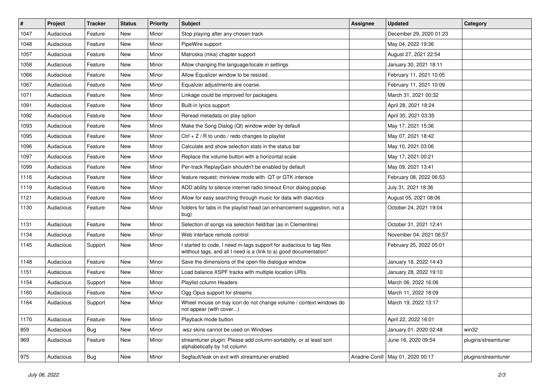| $\vert$ # | Project   | <b>Tracker</b> | <b>Status</b> | <b>Priority</b> | <b>Subject</b>                                                                                                                            | <b>Assignee</b> | <b>Updated</b>                      | Category            |
|-----------|-----------|----------------|---------------|-----------------|-------------------------------------------------------------------------------------------------------------------------------------------|-----------------|-------------------------------------|---------------------|
| 1047      | Audacious | Feature        | New           | Minor           | Stop playing after any chosen track                                                                                                       |                 | December 29, 2020 01:23             |                     |
| 1048      | Audacious | Feature        | <b>New</b>    | Minor           | PipeWire support                                                                                                                          |                 | May 04, 2022 19:36                  |                     |
| 1057      | Audacious | Feature        | New           | Minor           | Matroska (mka) chapter support                                                                                                            |                 | August 27, 2021 22:54               |                     |
| 1058      | Audacious | Feature        | New           | Minor           | Allow changing the language/locale in settings                                                                                            |                 | January 30, 2021 18:11              |                     |
| 1066      | Audacious | Feature        | New           | Minor           | Allow Equalizer window to be resized.                                                                                                     |                 | February 11, 2021 10:05             |                     |
| 1067      | Audacious | Feature        | New           | Minor           | Equalizer adjustments are coarse.                                                                                                         |                 | February 11, 2021 10:09             |                     |
| 1071      | Audacious | Feature        | New           | Minor           | Linkage could be improved for packagers.                                                                                                  |                 | March 31, 2021 00:32                |                     |
| 1091      | Audacious | Feature        | New           | Minor           | Built-in lyrics support                                                                                                                   |                 | April 28, 2021 18:24                |                     |
| 1092      | Audacious | Feature        | New           | Minor           | Reread metadata on play option                                                                                                            |                 | April 30, 2021 03:35                |                     |
| 1093      | Audacious | Feature        | New           | Minor           | Make the Song Dialog (Qt) window wider by default                                                                                         |                 | May 17, 2021 15:36                  |                     |
| 1095      | Audacious | Feature        | New           | Minor           | Ctrl $+$ Z / R to undo / redo changes to playlist                                                                                         |                 | May 07, 2021 18:42                  |                     |
| 1096      | Audacious | Feature        | <b>New</b>    | Minor           | Calculate and show selection stats in the status bar                                                                                      |                 | May 10, 2021 03:06                  |                     |
| 1097      | Audacious | Feature        | New           | Minor           | Replace the volume button with a horizontal scale                                                                                         |                 | May 17, 2021 00:21                  |                     |
| 1099      | Audacious | Feature        | New           | Minor           | Per-track ReplayGain shouldn't be enabled by default                                                                                      |                 | May 09, 2021 13:41                  |                     |
| 1116      | Audacious | Feature        | <b>New</b>    | Minor           | feature request: miniview mode with QT or GTK interace                                                                                    |                 | February 08, 2022 06:53             |                     |
| 1119      | Audacious | Feature        | New           | Minor           | ADD ability to silence internet radio timeout Error dialog popup                                                                          |                 | July 31, 2021 18:36                 |                     |
| 1121      | Audacious | Feature        | New           | Minor           | Allow for easy searching through music for data with diacritics                                                                           |                 | August 05, 2021 08:06               |                     |
| 1130      | Audacious | Feature        | New           | Minor           | folders for tabs in the playlist head (an enhancement suggestion, not a<br>bug)                                                           |                 | October 24, 2021 19:04              |                     |
| 1131      | Audacious | Feature        | New           | Minor           | Selection of songs via selection field/bar (as in Clementine)                                                                             |                 | October 31, 2021 12:41              |                     |
| 1134      | Audacious | Feature        | New           | Minor           | Web interface remote control                                                                                                              |                 | November 04, 2021 06:57             |                     |
| 1145      | Audacious | Support        | New           | Minor           | I started to code, I need m-tags support for audacious to tag files<br>witthout tags, and all I need is a (link to a) good documentation* |                 | February 25, 2022 05:01             |                     |
| 1148      | Audacious | Feature        | New           | Minor           | Save the dimensions of the open-file dialogue window                                                                                      |                 | January 18, 2022 14:43              |                     |
| 1151      | Audacious | Feature        | New           | Minor           | Load balance XSPF tracks with multiple location URIs                                                                                      |                 | January 28, 2022 19:10              |                     |
| 1154      | Audacious | Support        | New           | Minor           | Playlist column Headers                                                                                                                   |                 | March 06, 2022 16:06                |                     |
| 1160      | Audacious | Feature        | New           | Minor           | Ogg Opus support for streams                                                                                                              |                 | March 11, 2022 18:09                |                     |
| 1164      | Audacious | Support        | New           | Minor           | Wheel mouse on tray icon do not change volume / context windows do<br>not appear (with cover)                                             |                 | March 19, 2022 13:17                |                     |
| 1170      | Audacious | Feature        | New           | Minor           | Playback mode button                                                                                                                      |                 | April 22, 2022 16:01                |                     |
| 859       | Audacious | <b>Bug</b>     | New           | Minor           | wsz skins cannot be used on Windows                                                                                                       |                 | January 01, 2020 02:48              | win32               |
| 969       | Audacious | Feature        | New           | Minor           | streamtuner plugin: Please add column-sortability, or at least sort<br>alphabetically by 1st column                                       |                 | June 16, 2020 09:54                 | plugins/streamtuner |
| 975       | Audacious | <b>Bug</b>     | New           | Minor           | Segfault/leak on exit with streamtuner enabled                                                                                            |                 | Ariadne Conill   May 01, 2020 00:17 | plugins/streamtuner |